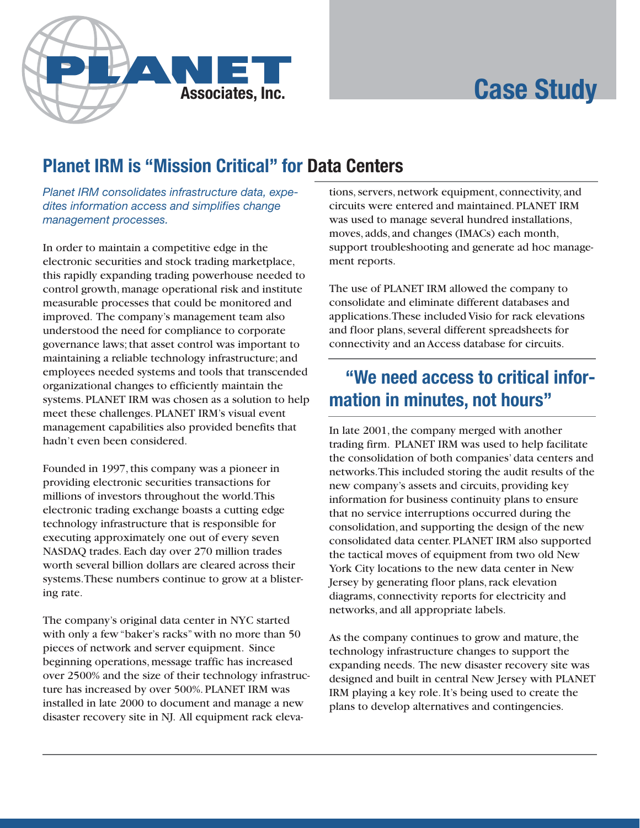# **Case Study**



## **Planet IRM is "Mission Critical" for Data Centers**

Planet IRM consolidates infrastructure data, expedites information access and simplifies change management processes.

In order to maintain a competitive edge in the electronic securities and stock trading marketplace, this rapidly expanding trading powerhouse needed to control growth, manage operational risk and institute measurable processes that could be monitored and improved. The company's management team also understood the need for compliance to corporate governance laws; that asset control was important to maintaining a reliable technology infrastructure; and employees needed systems and tools that transcended organizational changes to efficiently maintain the systems. PLANET IRM was chosen as a solution to help meet these challenges. PLANET IRM's visual event management capabilities also provided benefits that hadn't even been considered.

Founded in 1997, this company was a pioneer in providing electronic securities transactions for millions of investors throughout the world. This electronic trading exchange boasts a cutting edge technology infrastructure that is responsible for executing approximately one out of every seven NASDAQ trades. Each day over 270 million trades worth several billion dollars are cleared across their systems. These numbers continue to grow at a blistering rate.

The company's original data center in NYC started with only a few "baker's racks" with no more than 50 pieces of network and server equipment. Since beginning operations, message traffic has increased over 2500% and the size of their technology infrastructure has increased by over 500%. PLANET IRM was installed in late 2000 to document and manage a new disaster recovery site in NJ. All equipment rack elevations, servers, network equipment, connectivity, and circuits were entered and maintained. PLANET IRM was used to manage several hundred installations, moves, adds, and changes (IMACs) each month, support troubleshooting and generate ad hoc management reports.

The use of PLANET IRM allowed the company to consolidate and eliminate different databases and applications. These included Visio for rack elevations and floor plans, several different spreadsheets for connectivity and an Access database for circuits.

### "We need access to critical information in minutes, not hours"

In late 2001, the company merged with another trading firm. PLANET IRM was used to help facilitate the consolidation of both companies' data centers and networks. This included storing the audit results of the new company's assets and circuits, providing key information for business continuity plans to ensure that no service interruptions occurred during the consolidation, and supporting the design of the new consolidated data center. PLANET IRM also supported the tactical moves of equipment from two old New York City locations to the new data center in New Jersey by generating floor plans, rack elevation diagrams, connectivity reports for electricity and networks, and all appropriate labels.

As the company continues to grow and mature, the technology infrastructure changes to support the expanding needs. The new disaster recovery site was designed and built in central New Jersey with PLANET IRM playing a key role. It's being used to create the plans to develop alternatives and contingencies.